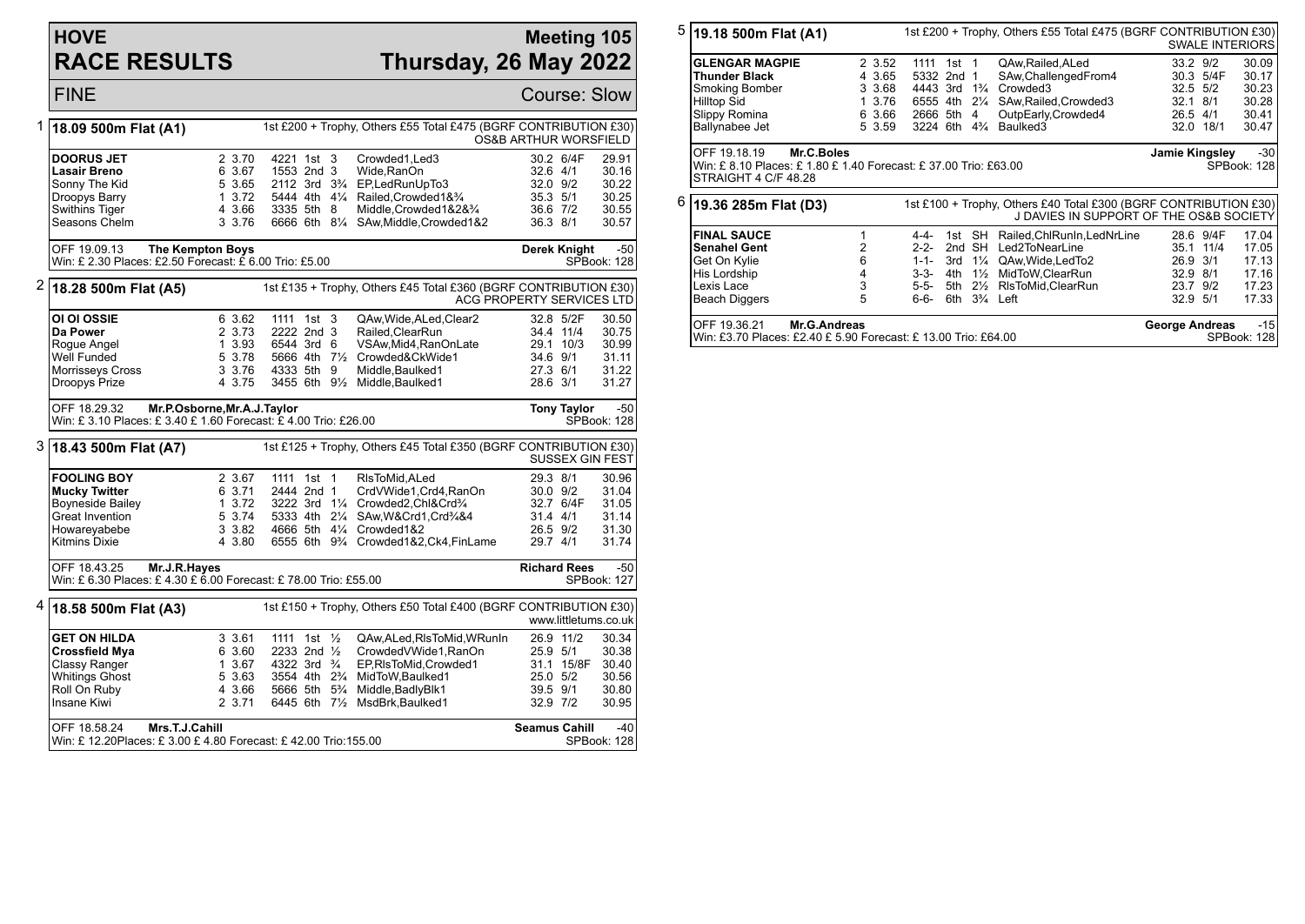## **HOVE RACE RESULTS**

## **Meeting 105 Thursday, 26 May 2022**

|                                                                                                                         | <b>FINE</b>                                                                                      |                             |                                                                  |                                                                                                                               |                                  |                     | <b>Course: Slow</b>         |  |
|-------------------------------------------------------------------------------------------------------------------------|--------------------------------------------------------------------------------------------------|-----------------------------|------------------------------------------------------------------|-------------------------------------------------------------------------------------------------------------------------------|----------------------------------|---------------------|-----------------------------|--|
| 1                                                                                                                       | 1st £200 + Trophy, Others £55 Total £475 (BGRF CONTRIBUTION £30)<br>18.09 500m Flat (A1)         |                             |                                                                  |                                                                                                                               | OS&B ARTHUR WORSFIELD            |                     |                             |  |
|                                                                                                                         | DOORUS JET<br>Lasair Breno                                                                       | 2 3.70<br>6 3.67            | 4221 1st 3<br>1553 2nd 3                                         | Crowded1, Led3<br>Wide, RanOn                                                                                                 | 30.2 6/4F<br>32.6 4/1            |                     | 29.91<br>30.16              |  |
|                                                                                                                         | Sonny The Kid<br>Droopys Barry<br>Swithins Tiger                                                 | 5 3.65<br>1, 3.72<br>4 3.66 | 3335 5th 8                                                       | 2112 3rd 3 <sup>3</sup> / <sub>4</sub> EP, Led Run Up To 3<br>5444 4th 41/4 Railed, Crowded 1& 3/4<br>Middle, Crowded 1&2&3/4 | 32.0 9/2<br>35.3 5/1<br>36.6 7/2 |                     | 30.22<br>30.25              |  |
|                                                                                                                         | Seasons Chelm                                                                                    | 3 3.76                      |                                                                  | 6666 6th 81/4 SAw, Middle, Crowded 1&2                                                                                        | 36.3 8/1                         |                     | 30.55<br>30.57              |  |
|                                                                                                                         | OFF 19.09.13<br>Win: £ 2.30 Places: £2.50 Forecast: £ 6.00 Trio: £5.00                           | <b>The Kempton Boys</b>     |                                                                  |                                                                                                                               | Derek Knight                     |                     | $-50$<br>SPBook: 128        |  |
| 2                                                                                                                       | 18.28 500m Flat (A5)                                                                             |                             |                                                                  | 1st £135 + Trophy, Others £45 Total £360 (BGRF CONTRIBUTION £30)<br>ACG PROPERTY SERVICES LTD                                 |                                  |                     |                             |  |
|                                                                                                                         | OI OI OSSIE<br>Da Power                                                                          | 6 3.62<br>2 3.73            | 1111 1st 3<br>2222 2nd 3                                         | QAw, Wide, ALed, Clear2<br>Railed.ClearRun                                                                                    | 32.8 5/2F<br>34.4 11/4           |                     | 30.50<br>30.75              |  |
|                                                                                                                         | Roque Angel                                                                                      | 1 3.93                      | 6544 3rd 6                                                       | VSAw, Mid4, RanOnLate                                                                                                         | 29.1 10/3                        |                     | 30.99                       |  |
|                                                                                                                         | Well Funded                                                                                      | 5 3.78                      |                                                                  | 5666 4th 71/2 Crowded&CkWide1                                                                                                 | 34.6 9/1                         |                     | 31.11                       |  |
|                                                                                                                         | Morrisseys Cross                                                                                 | 3 3.76                      | 4333 5th 9                                                       | Middle, Baulked1                                                                                                              | 27.3 6/1                         |                     | 31.22                       |  |
|                                                                                                                         | Droopys Prize                                                                                    | 4 3.75                      |                                                                  | 3455 6th 91/ <sub>2</sub> Middle, Baulked1                                                                                    | 28.6 3/1                         |                     | 31.27                       |  |
|                                                                                                                         | OFF 18.29.32<br>Win: £3.10 Places: £3.40 £1.60 Forecast: £4.00 Trio: £26.00                      | Mr.P.Osborne, Mr.A.J.Taylor |                                                                  |                                                                                                                               |                                  | <b>Tony Taylor</b>  | $-50$<br>SPBook: 128        |  |
| 3<br>1st £125 + Trophy, Others £45 Total £350 (BGRF CONTRIBUTION £30)<br>18.43 500m Flat (A7)<br><b>SUSSEX GIN FEST</b> |                                                                                                  |                             |                                                                  |                                                                                                                               |                                  |                     |                             |  |
|                                                                                                                         | <b>FOOLING BOY</b>                                                                               | 2 3.67                      | 1111 1st 1                                                       | RIsToMid, ALed                                                                                                                | 29.3 8/1                         |                     | 30.96                       |  |
|                                                                                                                         | <b>Mucky Twitter</b>                                                                             | 6 3.71                      | 2444 2nd 1                                                       | CrdVWide1,Crd4,RanOn                                                                                                          | 30.0 9/2                         |                     | 31.04                       |  |
|                                                                                                                         | Boyneside Bailey<br><b>Great Invention</b>                                                       | 13.72<br>5 3.74             |                                                                  | 3222 3rd 11/4 Crowded2, Chl&Crd <sup>3</sup> /4<br>5333 4th 21/4 SAw, W& Crd1, Crd3/4&4                                       | 32.7 6/4F<br>31.4 4/1            |                     | 31.05<br>31.14              |  |
|                                                                                                                         | Howareyabebe                                                                                     | 3 3.82                      | 4666 5th 41/4 Crowded 1&2                                        |                                                                                                                               | 26.5 9/2                         |                     | 31.30                       |  |
|                                                                                                                         | Kitmins Dixie                                                                                    | 4 3.80                      |                                                                  | 6555 6th 9% Crowded1&2, Ck4, FinLame                                                                                          | 29.7 4/1                         |                     | 31.74                       |  |
|                                                                                                                         | Mr.J.R.Hayes<br>OFF 18.43.25<br>Win: £ 6.30 Places: £ 4.30 £ 6.00 Forecast: £ 78.00 Trio: £55.00 |                             |                                                                  |                                                                                                                               |                                  | <b>Richard Rees</b> | $-50$<br><b>SPBook: 127</b> |  |
| 4                                                                                                                       | 18.58 500m Flat (A3)                                                                             |                             |                                                                  | 1st £150 + Trophy, Others £50 Total £400 (BGRF CONTRIBUTION £30)                                                              |                                  |                     | www.littletums.co.uk        |  |
|                                                                                                                         | <b>GET ON HILDA</b>                                                                              | 3 3.61                      | 1111 1st $\frac{1}{2}$                                           | QAw,ALed,RIsToMid,WRunIn                                                                                                      | 26.9 11/2                        |                     | 30.34                       |  |
|                                                                                                                         | <b>Crossfield Mya</b>                                                                            | 6 3.60                      | 2233 2nd $\frac{1}{2}$                                           | CrowdedVWide1, RanOn                                                                                                          | 25.9 5/1                         |                     | 30.38                       |  |
|                                                                                                                         | Classy Ranger<br>Whitings Ghost                                                                  | 1 3.67                      | 4322 3rd $\frac{3}{4}$<br>3554 4th 2 <sup>3</sup> / <sub>4</sub> | EP,RIsToMid,Crowded1                                                                                                          |                                  | 31.1 15/8F          | 30.40<br>30.56              |  |
|                                                                                                                         | Roll On Ruby                                                                                     | 5 3.63<br>4 3.66            | 5666 5th 5 <sup>3</sup> / <sub>4</sub>                           | MidToW,Baulked1<br>Middle, Badly Blk1                                                                                         | 25.0 5/2<br>39.5 9/1             |                     | 30.80                       |  |
|                                                                                                                         | Insane Kiwi                                                                                      | 2 3.71                      |                                                                  | 6445 6th 71/2 MsdBrk, Baulked1                                                                                                | 32.9 7/2                         |                     | 30.95                       |  |
|                                                                                                                         | OFF 18.58.24<br>Mrs.T.J.Cahill<br>Win: £12.20Places: £3.00 £4.80 Forecast: £42.00 Trio:155.00    | <b>Seamus Cahill</b>        |                                                                  | $-40$<br>SPBook: 128                                                                                                          |                                  |                     |                             |  |

|   | $5 $ 19.18 500m Flat (A1)<br>1st £200 + Trophy, Others £55 Total £475 (BGRF CONTRIBUTION £30)                                                                |                                                          |                                                                                                                              | <b>SWALE INTERIORS</b> |  |                                                                                                                                                                              |                                          |                                                |                                                    |
|---|--------------------------------------------------------------------------------------------------------------------------------------------------------------|----------------------------------------------------------|------------------------------------------------------------------------------------------------------------------------------|------------------------|--|------------------------------------------------------------------------------------------------------------------------------------------------------------------------------|------------------------------------------|------------------------------------------------|----------------------------------------------------|
|   | <b>GLENGAR MAGPIE</b><br><b>Thunder Black</b><br>Smoking Bomber<br><b>Hilltop Sid</b><br>Slippy Romina<br>Ballynabee Jet                                     | 2 3.52<br>4 3.65<br>3 3.68<br>1 3.76<br>6 3.66<br>5 3.59 | 1111 1st 1<br>5332 2nd 1<br>4443 3rd 1 <sup>3</sup> / <sub>4</sub><br>6555 4th 21/4<br>2666 5th 4<br>3224 6th $4\frac{3}{4}$ |                        |  | QAw, Railed, ALed<br>SAw, Challenged From 4<br>Crowded3<br>SAw, Railed, Crowded 3<br>OutpEarly,Crowded4<br>Baulked3                                                          | 33.2 9/2<br>32.1 8/1                     | 30.3 5/4F<br>32.5 5/2<br>26.5 4/1<br>32.0 18/1 | 30.09<br>30.17<br>30.23<br>30.28<br>30.41<br>30.47 |
|   | OFF 19.18.19<br>Mr.C.Boles<br>Jamie Kingsley<br>$-30$<br>Win: £8.10 Places: £1.80 £1.40 Forecast: £37.00 Trio: £63.00<br>SPBook: 128<br>STRAIGHT 4 C/F 48.28 |                                                          |                                                                                                                              |                        |  |                                                                                                                                                                              |                                          |                                                |                                                    |
| 6 | 19.36 285m Flat (D3)                                                                                                                                         |                                                          |                                                                                                                              |                        |  | 1st £100 + Trophy, Others £40 Total £300 (BGRF CONTRIBUTION £30)<br>J DAVIES IN SUPPORT OF THE OS&B SOCIETY                                                                  |                                          |                                                |                                                    |
|   | <b>FINAL SAUCE</b><br><b>Senahel Gent</b><br>Get On Kylie<br>His Lordship<br>Lexis Lace<br>Beach Diggers                                                     | $\overline{2}$<br>6<br>4<br>3<br>5                       | 4-4-<br>$2 - 2 -$<br>$1 - 1 -$<br>$3 - 3 -$<br>$5 - 5 -$<br>6-6-                                                             | 3rd 11⁄4<br>4th 1½     |  | 1st SH Railed, ChlRunIn, LedNrLine<br>2nd SH Led2ToNearLine<br>QAw, Wide, Led To 2<br>MidToW.ClearRun<br>5th 21/ <sub>2</sub> RIsToMid, Clear Run<br>6th $3\frac{3}{4}$ Left | 35.1<br>32.9 8/1<br>23.7 9/2<br>32.9 5/1 | 28.6 9/4F<br>11/4<br>26.9 3/1                  | 17.04<br>17.05<br>17.13<br>17.16<br>17.23<br>17.33 |
|   | OFF 19.36.21                                                                                                                                                 | Mr.G.Andreas                                             |                                                                                                                              |                        |  |                                                                                                                                                                              | <b>George Andreas</b>                    |                                                | $-15$                                              |

SPBook: 128

Win: £3.70 Places: £2.40 £ 5.90 Forecast: £ 13.00 Trio: £64.00